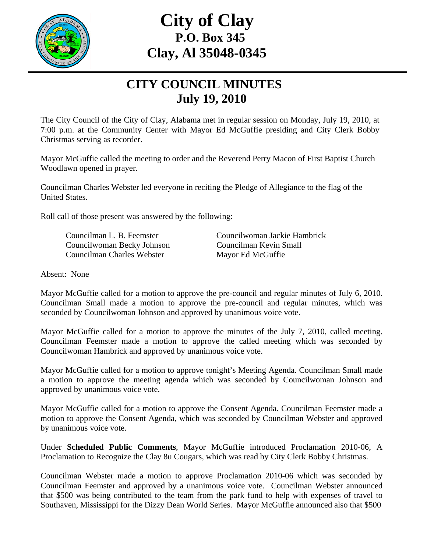

## **City of Clay P.O. Box 345 Clay, Al 35048-0345**

## **CITY COUNCIL MINUTES July 19, 2010**

The City Council of the City of Clay, Alabama met in regular session on Monday, July 19, 2010, at 7:00 p.m. at the Community Center with Mayor Ed McGuffie presiding and City Clerk Bobby Christmas serving as recorder.

Mayor McGuffie called the meeting to order and the Reverend Perry Macon of First Baptist Church Woodlawn opened in prayer.

Councilman Charles Webster led everyone in reciting the Pledge of Allegiance to the flag of the United States.

Roll call of those present was answered by the following:

 Councilwoman Becky Johnson Councilman Kevin Small Councilman Charles Webster Mayor Ed McGuffie

Councilman L. B. Feemster Councilwoman Jackie Hambrick

Absent: None

Mayor McGuffie called for a motion to approve the pre-council and regular minutes of July 6, 2010. Councilman Small made a motion to approve the pre-council and regular minutes, which was seconded by Councilwoman Johnson and approved by unanimous voice vote.

Mayor McGuffie called for a motion to approve the minutes of the July 7, 2010, called meeting. Councilman Feemster made a motion to approve the called meeting which was seconded by Councilwoman Hambrick and approved by unanimous voice vote.

Mayor McGuffie called for a motion to approve tonight's Meeting Agenda. Councilman Small made a motion to approve the meeting agenda which was seconded by Councilwoman Johnson and approved by unanimous voice vote.

Mayor McGuffie called for a motion to approve the Consent Agenda. Councilman Feemster made a motion to approve the Consent Agenda, which was seconded by Councilman Webster and approved by unanimous voice vote.

Under **Scheduled Public Comments**, Mayor McGuffie introduced Proclamation 2010-06, A Proclamation to Recognize the Clay 8u Cougars, which was read by City Clerk Bobby Christmas.

Councilman Webster made a motion to approve Proclamation 2010-06 which was seconded by Councilman Feemster and approved by a unanimous voice vote. Councilman Webster announced that \$500 was being contributed to the team from the park fund to help with expenses of travel to Southaven, Mississippi for the Dizzy Dean World Series. Mayor McGuffie announced also that \$500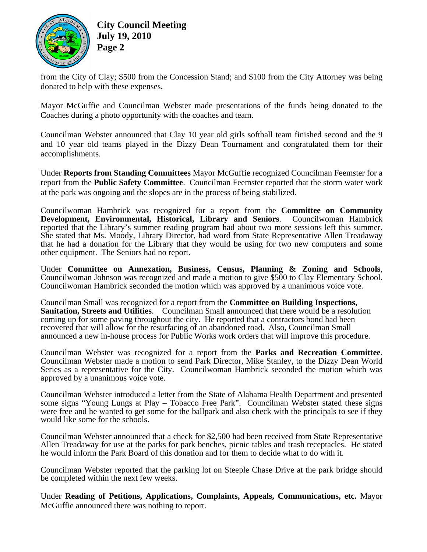

**City Council Meeting July 19, 2010 Page 2** 

from the City of Clay; \$500 from the Concession Stand; and \$100 from the City Attorney was being donated to help with these expenses.

Mayor McGuffie and Councilman Webster made presentations of the funds being donated to the Coaches during a photo opportunity with the coaches and team.

Councilman Webster announced that Clay 10 year old girls softball team finished second and the 9 and 10 year old teams played in the Dizzy Dean Tournament and congratulated them for their accomplishments.

Under **Reports from Standing Committees** Mayor McGuffie recognized Councilman Feemster for a report from the **Public Safety Committee**. Councilman Feemster reported that the storm water work at the park was ongoing and the slopes are in the process of being stabilized.

Councilwoman Hambrick was recognized for a report from the **Committee on Community Development, Environmental, Historical, Library and Seniors**. Councilwoman Hambrick reported that the Library's summer reading program had about two more sessions left this summer. She stated that Ms. Moody, Library Director, had word from State Representative Allen Treadaway that he had a donation for the Library that they would be using for two new computers and some other equipment. The Seniors had no report.

Under **Committee on Annexation, Business, Census, Planning & Zoning and Schools**, Councilwoman Johnson was recognized and made a motion to give \$500 to Clay Elementary School. Councilwoman Hambrick seconded the motion which was approved by a unanimous voice vote.

Councilman Small was recognized for a report from the **Committee on Building Inspections, Sanitation, Streets and Utilities**. Councilman Small announced that there would be a resolution coming up for some paving throughout the city. He reported that a contractors bond had been recovered that will allow for the resurfacing of an abandoned road. Also, Councilman Small announced a new in-house process for Public Works work orders that will improve this procedure.

Councilman Webster was recognized for a report from the **Parks and Recreation Committee**. Councilman Webster made a motion to send Park Director, Mike Stanley, to the Dizzy Dean World Series as a representative for the City. Councilwoman Hambrick seconded the motion which was approved by a unanimous voice vote.

Councilman Webster introduced a letter from the State of Alabama Health Department and presented some signs "Young Lungs at Play – Tobacco Free Park". Councilman Webster stated these signs were free and he wanted to get some for the ballpark and also check with the principals to see if they would like some for the schools.

Councilman Webster announced that a check for \$2,500 had been received from State Representative Allen Treadaway for use at the parks for park benches, picnic tables and trash receptacles. He stated he would inform the Park Board of this donation and for them to decide what to do with it.

Councilman Webster reported that the parking lot on Steeple Chase Drive at the park bridge should be completed within the next few weeks.

Under **Reading of Petitions, Applications, Complaints, Appeals, Communications, etc.** Mayor McGuffie announced there was nothing to report.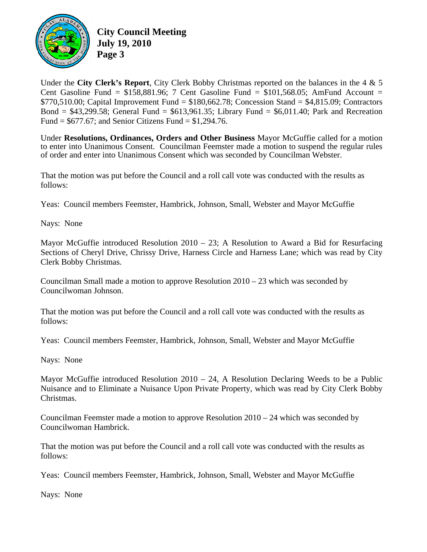

**City Council Meeting July 19, 2010 Page 3** 

Under the **City Clerk's Report**, City Clerk Bobby Christmas reported on the balances in the 4 & 5 Cent Gasoline Fund =  $$158,881.96$ ; 7 Cent Gasoline Fund =  $$101,568.05$ ; AmFund Account = \$770,510.00; Capital Improvement Fund = \$180,662.78; Concession Stand = \$4,815.09; Contractors Bond =  $$43,299.58$ ; General Fund =  $$613,961.35$ ; Library Fund =  $$6,011.40$ ; Park and Recreation Fund =  $$677.67$ ; and Senior Citizens Fund =  $$1,294.76$ .

Under **Resolutions, Ordinances, Orders and Other Business** Mayor McGuffie called for a motion to enter into Unanimous Consent. Councilman Feemster made a motion to suspend the regular rules of order and enter into Unanimous Consent which was seconded by Councilman Webster.

That the motion was put before the Council and a roll call vote was conducted with the results as follows:

Yeas: Council members Feemster, Hambrick, Johnson, Small, Webster and Mayor McGuffie

Nays: None

Mayor McGuffie introduced Resolution  $2010 - 23$ ; A Resolution to Award a Bid for Resurfacing Sections of Cheryl Drive, Chrissy Drive, Harness Circle and Harness Lane; which was read by City Clerk Bobby Christmas.

Councilman Small made a motion to approve Resolution  $2010 - 23$  which was seconded by Councilwoman Johnson.

That the motion was put before the Council and a roll call vote was conducted with the results as follows:

Yeas: Council members Feemster, Hambrick, Johnson, Small, Webster and Mayor McGuffie

Nays: None

Mayor McGuffie introduced Resolution 2010 – 24, A Resolution Declaring Weeds to be a Public Nuisance and to Eliminate a Nuisance Upon Private Property, which was read by City Clerk Bobby Christmas.

Councilman Feemster made a motion to approve Resolution 2010 – 24 which was seconded by Councilwoman Hambrick.

That the motion was put before the Council and a roll call vote was conducted with the results as follows:

Yeas: Council members Feemster, Hambrick, Johnson, Small, Webster and Mayor McGuffie

Nays: None